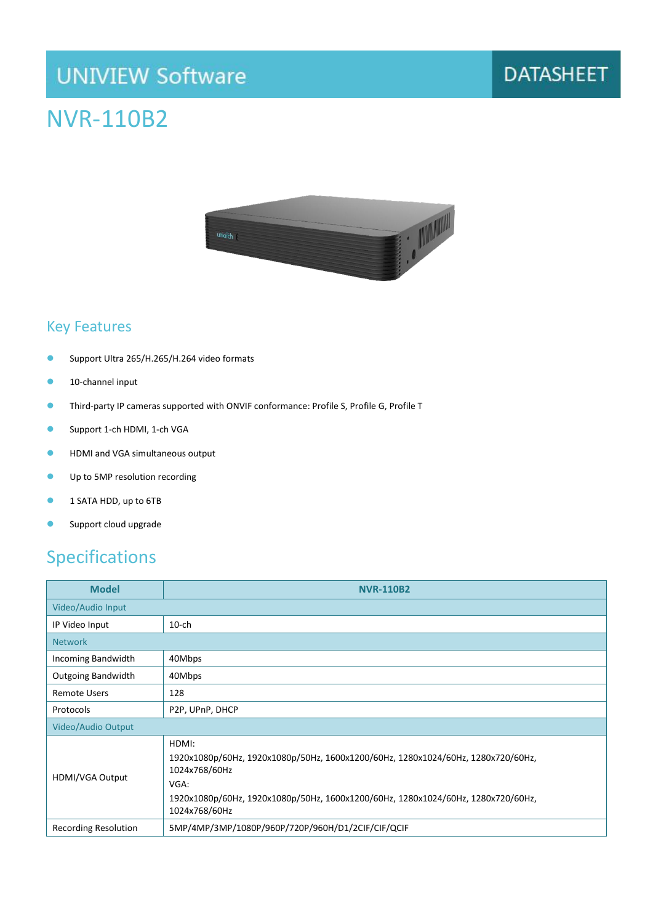## **UNIVIEW Software**

## NVR-110B2



#### Key Features

- **Support Ultra 265/H.265/H.264 video formats**
- **10-channel input**
- Third-party IP cameras supported with ONVIF conformance: Profile S, Profile G, Profile T
- **Support 1-ch HDMI, 1-ch VGA**
- **C** HDMI and VGA simultaneous output
- **Up to 5MP resolution recording**
- **1 SATA HDD, up to 6TB**
- **Support cloud upgrade**

#### Specifications

| <b>Model</b>                | <b>NVR-110B2</b>                                                                                                                                                                                                        |  |
|-----------------------------|-------------------------------------------------------------------------------------------------------------------------------------------------------------------------------------------------------------------------|--|
| Video/Audio Input           |                                                                                                                                                                                                                         |  |
| IP Video Input              | $10$ -ch                                                                                                                                                                                                                |  |
| <b>Network</b>              |                                                                                                                                                                                                                         |  |
| Incoming Bandwidth          | 40Mbps                                                                                                                                                                                                                  |  |
| <b>Outgoing Bandwidth</b>   | 40Mbps                                                                                                                                                                                                                  |  |
| <b>Remote Users</b>         | 128                                                                                                                                                                                                                     |  |
| Protocols                   | P2P, UPnP, DHCP                                                                                                                                                                                                         |  |
| Video/Audio Output          |                                                                                                                                                                                                                         |  |
| HDMI/VGA Output             | HDMI:<br>1920x1080p/60Hz, 1920x1080p/50Hz, 1600x1200/60Hz, 1280x1024/60Hz, 1280x720/60Hz,<br>1024x768/60Hz<br>VGA:<br>1920x1080p/60Hz, 1920x1080p/50Hz, 1600x1200/60Hz, 1280x1024/60Hz, 1280x720/60Hz,<br>1024x768/60Hz |  |
| <b>Recording Resolution</b> | 5MP/4MP/3MP/1080P/960P/720P/960H/D1/2CIF/CIF/QCIF                                                                                                                                                                       |  |

### **DATASHEET**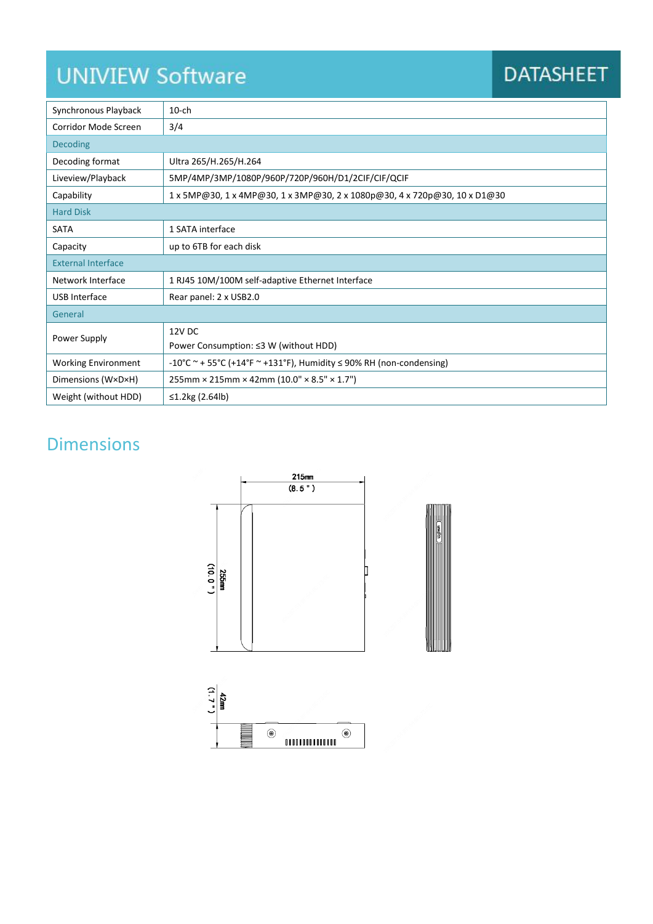# **UNIVIEW Software**

## **DATASHEET**

| Synchronous Playback       | $10$ -ch                                                                  |  |
|----------------------------|---------------------------------------------------------------------------|--|
| Corridor Mode Screen       | 3/4                                                                       |  |
| <b>Decoding</b>            |                                                                           |  |
| Decoding format            | Ultra 265/H.265/H.264                                                     |  |
| Liveview/Playback          | 5MP/4MP/3MP/1080P/960P/720P/960H/D1/2CIF/CIF/QCIF                         |  |
| Capability                 | 1 x 5MP@30, 1 x 4MP@30, 1 x 3MP@30, 2 x 1080p@30, 4 x 720p@30, 10 x D1@30 |  |
| <b>Hard Disk</b>           |                                                                           |  |
| <b>SATA</b>                | 1 SATA interface                                                          |  |
| Capacity                   | up to 6TB for each disk                                                   |  |
| <b>External Interface</b>  |                                                                           |  |
| Network Interface          | 1 RJ45 10M/100M self-adaptive Ethernet Interface                          |  |
| <b>USB</b> Interface       | Rear panel: 2 x USB2.0                                                    |  |
| General                    |                                                                           |  |
| Power Supply               | 12V DC                                                                    |  |
|                            | Power Consumption: ≤3 W (without HDD)                                     |  |
| <b>Working Environment</b> | -10°C ~ + 55°C (+14°F ~ +131°F), Humidity $\leq$ 90% RH (non-condensing)  |  |
| Dimensions (W×D×H)         | $255$ mm × 215mm × 42mm (10.0" × 8.5" × 1.7")                             |  |
| Weight (without HDD)       | ≤1.2kg (2.64lb)                                                           |  |

### Dimensions